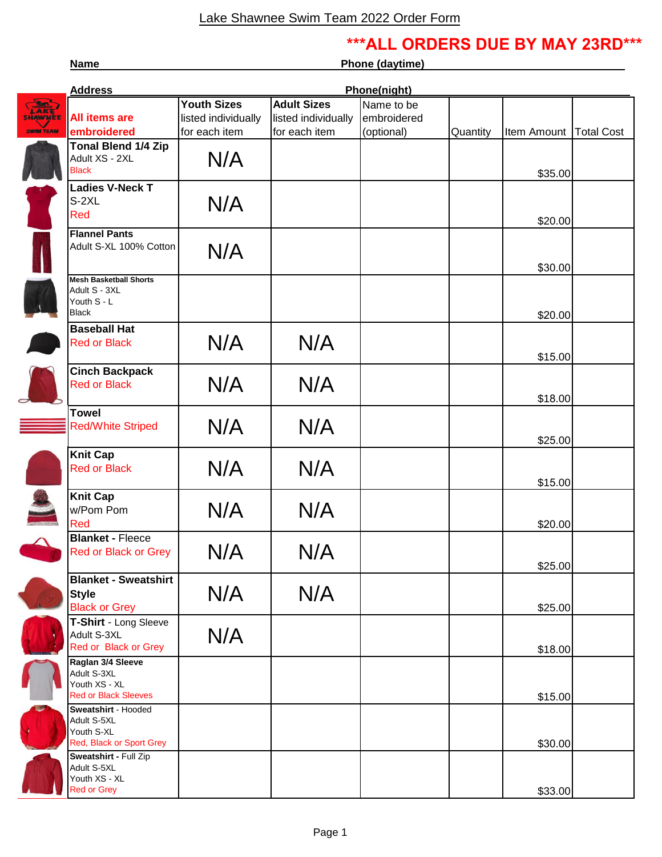## **\*\*\*ALL ORDERS DUE BY MAY 23RD\*\*\***

**Name** Phone (daytime)

|                        | Phone(night)<br><b>Address</b>                                                   |                     |                     |             |          |                          |  |
|------------------------|----------------------------------------------------------------------------------|---------------------|---------------------|-------------|----------|--------------------------|--|
|                        |                                                                                  | <b>Youth Sizes</b>  | <b>Adult Sizes</b>  | Name to be  |          |                          |  |
| LAKE<br><b>SHAWNEE</b> | <b>All items are</b>                                                             | listed individually | listed individually | embroidered |          |                          |  |
| <b>SWIM TEAM</b>       | embroidered                                                                      | for each item       | for each item       | (optional)  | Quantity | Item Amount   Total Cost |  |
|                        | <b>Tonal Blend 1/4 Zip</b><br>Adult XS - 2XL<br><b>Black</b>                     | N/A                 |                     |             |          | \$35.00                  |  |
|                        | <b>Ladies V-Neck T</b><br>$S-2XL$<br>Red                                         | N/A                 |                     |             |          | \$20.00                  |  |
|                        | <b>Flannel Pants</b><br>Adult S-XL 100% Cotton                                   | N/A                 |                     |             |          | \$30.00                  |  |
|                        | <b>Mesh Basketball Shorts</b><br>Adult S - 3XL<br>Youth S - L<br><b>Black</b>    |                     |                     |             |          | \$20.00                  |  |
|                        | <b>Baseball Hat</b><br><b>Red or Black</b>                                       | N/A                 | N/A                 |             |          | \$15.00                  |  |
|                        | <b>Cinch Backpack</b><br><b>Red or Black</b>                                     | N/A                 | N/A                 |             |          | \$18.00                  |  |
|                        | <b>Towel</b><br><b>Red/White Striped</b>                                         | N/A                 | N/A                 |             |          | \$25.00                  |  |
|                        | <b>Knit Cap</b><br><b>Red or Black</b>                                           | N/A                 | N/A                 |             |          | \$15.00                  |  |
|                        | <b>Knit Cap</b><br>w/Pom Pom<br>Red                                              | N/A                 | N/A                 |             |          | \$20.00                  |  |
|                        | <b>Blanket - Fleece</b><br><b>Red or Black or Grey</b>                           | N/A                 | N/A                 |             |          | \$25.00                  |  |
|                        | <b>Blanket - Sweatshirt</b><br><b>Style</b><br><b>Black or Grey</b>              | N/A                 | N/A                 |             |          | \$25.00                  |  |
|                        | T-Shirt - Long Sleeve<br>Adult S-3XL<br>Red or Black or Grey                     | N/A                 |                     |             |          | \$18.00                  |  |
|                        | Raglan 3/4 Sleeve<br>Adult S-3XL<br>Youth XS - XL<br><b>Red or Black Sleeves</b> |                     |                     |             |          | \$15.00                  |  |
|                        | Sweatshirt - Hooded<br>Adult S-5XL<br>Youth S-XL<br>Red, Black or Sport Grey     |                     |                     |             |          | \$30.00                  |  |
|                        | Sweatshirt - Full Zip<br>Adult S-5XL<br>Youth XS - XL<br><b>Red or Grey</b>      |                     |                     |             |          | \$33.00                  |  |